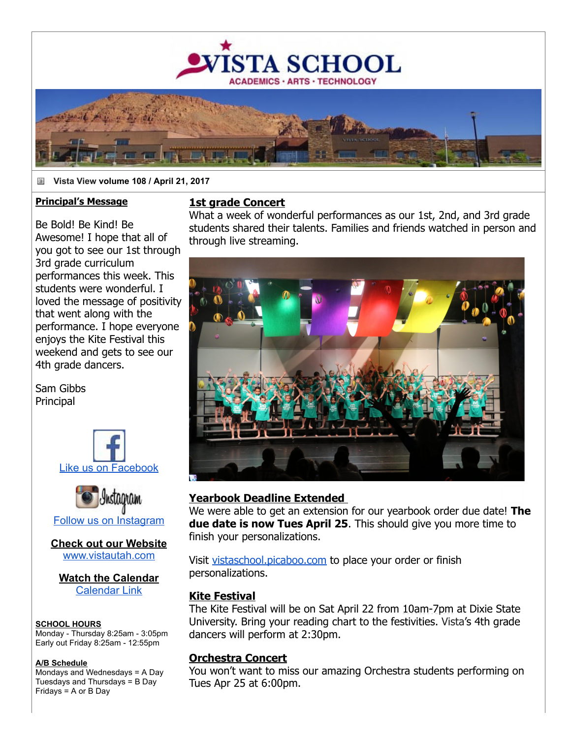

#### ä **Vista View volume 108 / April 21, 2017**

#### **Principal's Message**

Be Bold! Be Kind! Be Awesome! I hope that all of you got to see our 1st through 3rd grade curriculum performances this week. This students were wonderful. I loved the message of positivity that went along with the performance. I hope everyone enjoys the Kite Festival this weekend and gets to see our 4th grade dancers.

Sam Gibbs **Principal** 





**Check out our Website** [www.vistautah.com](http://track.spe.schoolmessenger.com/f/a/t-MQLL_LTAFkmKmGucwE0g~~/AAAAAQA~/RgRa27hWP0EIAGxzRlvNr7dXB3NjaG9vbG1YBAAAAABCCgAB1oT6WDHWRDBSFG1yb3dhbkB2aXN0YXV0YWguY29tCVEEAAAAAEQYaHR0cDovL3d3dy52aXN0YXV0YWguY29tR6d7ImN1c3RvbWVyaWQiOiI4NzQ2Iiwic2hhcmRpZCI6IjEiLCJzZW50VGltZU1zIjoiMTQ5MjgxMjk5MTU3OSIsInNlcXVlbmNlIjoiMCIsInBlcnNvbmlkIjoiMzcwMDQiLCJqb2JpZCI6IjcwMSIsImVudiI6InByb2QiLCJlbWFpbFNvdXJjZSI6IkNVU1RPTUVSX0pPQiIsInVzZXJpZCI6IjIifQ~~)

**Watch the Calendar** [Calendar Link](http://track.spe.schoolmessenger.com/f/a/4gOu4pwd_1CfvrJoxcw-NA~~/AAAAAQA~/RgRa27hWP0EIAGxzRlvNr7dXB3NjaG9vbG1YBAAAAABCCgAB1oT6WDHWRDBSFG1yb3dhbkB2aXN0YXV0YWguY29tCVEEAAAAAEQiaHR0cDovL3d3dy52aXN0YXV0YWguY29tL2NhbGVuZGFyL0eneyJzaGFyZGlkIjoiMSIsImVtYWlsU291cmNlIjoiQ1VTVE9NRVJfSk9CIiwic2VudFRpbWVNcyI6IjE0OTI4MTI5OTE1NzkiLCJlbnYiOiJwcm9kIiwiY3VzdG9tZXJpZCI6Ijg3NDYiLCJqb2JpZCI6IjcwMSIsInVzZXJpZCI6IjIiLCJwZXJzb25pZCI6IjM3MDA0Iiwic2VxdWVuY2UiOiIwIn0~)

#### **SCHOOL HOURS**

Monday Thursday 8:25am 3:05pm Early out Friday 8:25am 12:55pm

#### **A/B Schedule**

Mondays and Wednesdays = A Day Tuesdays and Thursdays = B Day Fridays = A or B Day

#### **1st grade Concert**

What a week of wonderful performances as our 1st, 2nd, and 3rd grade students shared their talents. Families and friends watched in person and through live streaming.



#### **Yearbook Deadline Extended**

We were able to get an extension for our yearbook order due date! **The due date is now Tues April 25**. This should give you more time to finish your personalizations.

Visit [vistaschool.picaboo.com](http://track.spe.schoolmessenger.com/f/a/OCU4MHWXt9z4lr5PTQtTHg~~/AAAAAQA~/RgRa27hWP0EIAGxzRlvNr7dXB3NjaG9vbG1YBAAAAABCCgAB1oT6WDHWRDBSFG1yb3dhbkB2aXN0YXV0YWguY29tCVEEAAAAAEQeaHR0cDovL3Zpc3Rhc2Nob29sLnBpY2Fib28uY29tR6d7InVzZXJpZCI6IjIiLCJjdXN0b21lcmlkIjoiODc0NiIsImVudiI6InByb2QiLCJzZXF1ZW5jZSI6IjAiLCJqb2JpZCI6IjcwMSIsInBlcnNvbmlkIjoiMzcwMDQiLCJlbWFpbFNvdXJjZSI6IkNVU1RPTUVSX0pPQiIsInNlbnRUaW1lTXMiOiIxNDkyODEyOTkxNTc5Iiwic2hhcmRpZCI6IjEifQ~~) to place your order or finish personalizations.

#### **Kite Festival**

The Kite Festival will be on Sat April 22 from 10am-7pm at Dixie State University. Bring your reading chart to the festivities. Vista's 4th grade dancers will perform at 2:30pm.

#### **Orchestra Concert**

You won't want to miss our amazing Orchestra students performing on Tues Apr 25 at 6:00pm.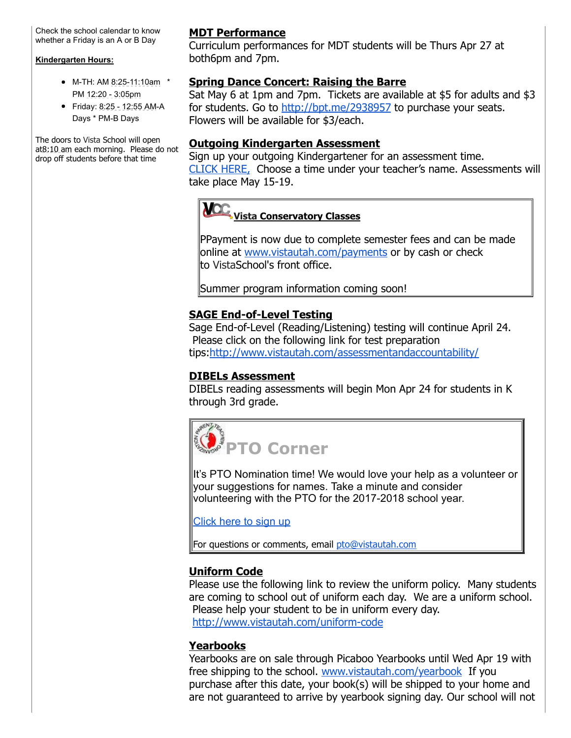Check the school calendar to know whether a Friday is an A or B Day

#### **Kindergarten Hours:**

- M-TH: AM 8:25-11:10am \* PM 12:20 3:05pm
- Friday: 8:25 12:55 AM-A Days \* PM-B Days

The doors to Vista School will open at8:10 am each morning. Please do not drop off students before that time

# **MDT Performance**

Curriculum performances for MDT students will be Thurs Apr 27 at both6pm and 7pm.

### **Spring Dance Concert: Raising the Barre**

Sat May 6 at 1pm and 7pm. Tickets are available at \$5 for adults and \$3 for students. Go to [http://bpt.me/2938957](http://track.spe.schoolmessenger.com/f/a/B2LlAWCI32Cnruq7f2hgKA~~/AAAAAQA~/RgRa27hWP0EIAGxzRlvNr7dXB3NjaG9vbG1YBAAAAABCCgAB1oT6WDHWRDBSFG1yb3dhbkB2aXN0YXV0YWguY29tCVEEAAAAAEQVaHR0cDovL2JwdC5tZS8yOTM4OTU3R6d7ImpvYmlkIjoiNzAxIiwicGVyc29uaWQiOiIzNzAwNCIsInVzZXJpZCI6IjIiLCJlbWFpbFNvdXJjZSI6IkNVU1RPTUVSX0pPQiIsImN1c3RvbWVyaWQiOiI4NzQ2Iiwic2hhcmRpZCI6IjEiLCJzZXF1ZW5jZSI6IjAiLCJlbnYiOiJwcm9kIiwic2VudFRpbWVNcyI6IjE0OTI4MTI5OTE1NzkifQ~~) to purchase your seats. Flowers will be available for \$3/each.

### **Outgoing Kindergarten Assessment**

Sign up your outgoing Kindergartener for an assessment time. [CLICK HERE,](http://track.spe.schoolmessenger.com/f/a/0ierk66Vf77-XbLJarSfzw~~/AAAAAQA~/RgRa27hWP0EIAGxzRlvNr7dXB3NjaG9vbG1YBAAAAABCCgAB1oT6WDHWRDBSFG1yb3dhbkB2aXN0YXV0YWguY29tCVEEAAAAAEQ2aHR0cHM6Ly9waWNrYXRpbWUuY29tL2NsaWVudD92ZW49MTE2MDQ3NzUmZXZlbnQ9MzA2NTQ5R6d7InVzZXJpZCI6IjIiLCJzaGFyZGlkIjoiMSIsInNlcXVlbmNlIjoiMCIsImVtYWlsU291cmNlIjoiQ1VTVE9NRVJfSk9CIiwicGVyc29uaWQiOiIzNzAwNCIsImN1c3RvbWVyaWQiOiI4NzQ2Iiwiam9iaWQiOiI3MDEiLCJzZW50VGltZU1zIjoiMTQ5MjgxMjk5MTU3OSIsImVudiI6InByb2QifQ~~) Choose a time under your teacher's name. Assessments will take place May 15-19.

# **Vista Conservatory Classes**

PPayment is now due to complete semester fees and can be made online at [www.vistautah.com/payments](http://track.spe.schoolmessenger.com/f/a/Lz23IKJjfG4mi_bEOWex5w~~/AAAAAQA~/RgRa27hWP0EIAGxzRlvNr7dXB3NjaG9vbG1YBAAAAABCCgAB1oT6WDHWRDBSFG1yb3dhbkB2aXN0YXV0YWguY29tCVEEAAAAAEQhaHR0cDovL3d3dy52aXN0YXV0YWguY29tL3BheW1lbnRzR6d7ImN1c3RvbWVyaWQiOiI4NzQ2Iiwiam9iaWQiOiI3MDEiLCJlbnYiOiJwcm9kIiwic2hhcmRpZCI6IjEiLCJwZXJzb25pZCI6IjM3MDA0IiwiZW1haWxTb3VyY2UiOiJDVVNUT01FUl9KT0IiLCJzZW50VGltZU1zIjoiMTQ5MjgxMjk5MTU3OSIsInVzZXJpZCI6IjIiLCJzZXF1ZW5jZSI6IjAifQ~~) or by cash or check to VistaSchool's front office.

Summer program information coming soon!

# **SAGE End-of-Level Testing**

Sage End-of-Level (Reading/Listening) testing will continue April 24. Please click on the following link for test preparation tips:[http://www.vistautah.com/assessmentandaccountability/](http://track.spe.schoolmessenger.com/f/a/4FEE9XjFpTwhnI5zLKSphA~~/AAAAAQA~/RgRa27hWP0EIAGxzRlvNr7dXB3NjaG9vbG1YBAAAAABCCgAB1oT6WDHWRDBSFG1yb3dhbkB2aXN0YXV0YWguY29tCVEEAAAAAIQLBGh0dHA6Ly90cmFjay5zcGUuc2Nob29sbWVzc2VuZ2VyLmNvbS9mL2EvbC1neFZwYUthcFFyN0VjVWR6ci1LQX5-L0FBQUFBUUF-L1JnUmEwVXJfUDBFSUFHeHpSbHNuLXBoWEIzTmphRzl2YkcxWUJBQUFBQUJDQ2dBQmZ4ZndXREhXM2F4U0ZHSm9ZWFJqYUVCMmFYTjBZWFYwWVdndVkyOXRDVkVFQUFBQUFJVGJBV2gwZEhBNkx5OTBjbUZqYXk1emNHVXVjMk5vYjI5c2JXVnpjMlZ1WjJWeUxtTnZiUzltTDJFdmQyeFFMV0UzVHpsQmFEQnpjVE4xTTBOV09ISllaMzUtTDBGQlFVRkJVVUYtTDFKblVtRjVWRlV4VURCRlNVRlBlSHBTYm05dGVFVXhXRUl6VG1waFJ6bDJZa2N4V1VKQlFVRkJRVUpEUTJkQlJIUlJTRzlYVEdoWk9VMTBVMFl6VW1samJVWnJZekpvYUdRd1FqSmhXRTR3V1ZoV01GbFhaM1ZaTWpsMFExWkZSVUZCUVVGQlJWRXhZVWhTTUdORWIzWk1NMlF6WkhrMU1tRllUakJaV0ZZd1dWZG5kVmt5T1hSTU1rWjZZekpXZW1NeU1XeGlibEpvWW0xU2FGa3lUblprVnpVd1dWZEtjR0pIYkRCbFV6bEljRE56YVdNeWFHaGpiVkp3V2tOSk5rbHFSV2xNUTBwc1ltNVphVTlwU25kamJUbHJTV2wzYVdNeVZuVmtSbEp3WWxkV1RtTjVTVFpKYWtVd1QxUkZNVTlVYXpOT2VsazBUVVJyYVV4RFNuZGFXRXA2WWpJMWNGcERTVFpKYWswelRVUkJORWxwZDJsYVZ6Rm9ZVmQ0VkdJelZubFpNbFZwVDJsS1JGWldUbFZVTURGR1ZXdzVTMVF3U1dsTVEwcDZXbGhHTVZwWE5XcGFVMGsyU1dwQmFVeERTbkZpTWtwd1drTkpOa2xxV1RSTmVVbHpTVzVXZWxwWVNuQmFRMGsyU1dwSmFVeERTbXBrV0U0d1lqSXhiR050Ykd0SmFtOXBUMFJqTUU1cFNqbEhwM3NpZFhObGNtbGtJam9pTWlJc0luTmxiblJVYVcxbFRYTWlPaUl4TkRreU1USTVOalEwTmpFMklpd2lZM1Z6ZEc5dFpYSnBaQ0k2SWpnM05EWWlMQ0p3WlhKemIyNXBaQ0k2SWpNM01EVTVJaXdpYzJWeGRXVnVZMlVpT2lJd0lpd2laVzUySWpvaWNISnZaQ0lzSW5Ob1lYSmthV1FpT2lJeElpd2laVzFoYVd4VGIzVnlZMlVpT2lKRFZWTlVUMDFGVWw5S1QwSWlMQ0pxYjJKcFpDSTZJalk1TXlKOUeneyJjdXN0b21lcmlkIjoiODc0NiIsInVzZXJpZCI6IjIiLCJlbnYiOiJwcm9kIiwicGVyc29uaWQiOiIzNzAwNCIsImVtYWlsU291cmNlIjoiQ1VTVE9NRVJfSk9CIiwic2VxdWVuY2UiOiIwIiwic2VudFRpbWVNcyI6IjE0OTI4MTI5OTE1NzkiLCJqb2JpZCI6IjcwMSIsInNoYXJkaWQiOiIxIn0~)

# **DIBELs Assessment**

DIBELs reading assessments will begin Mon Apr 24 for students in K through 3rd grade.



It's PTO Nomination time! We would love your help as a volunteer or your suggestions for names. Take a minute and consider volunteering with the PTO for the 2017-2018 school year.

[Click here to sign up](http://track.spe.schoolmessenger.com/f/a/O1-SjTWh67OsXHdoLZWQ7w~~/AAAAAQA~/RgRa27hWP0EIAGxzRlvNr7dXB3NjaG9vbG1YBAAAAABCCgAB1oT6WDHWRDBSFG1yb3dhbkB2aXN0YXV0YWguY29tCVEEAAAAAERtaHR0cHM6Ly9kb2NzLmdvb2dsZS5jb20vYS92aXN0YXV0YWguY29tL2Zvcm1zL2QvMVBCcjd6bkdEdjBEaVpjMjlvTkhFS0VnWWJBLWdQYzFqbVhtNkxOQkl2cTQvZWRpdD90cz01OGZhMWU3ZkeneyJqb2JpZCI6IjcwMSIsImVudiI6InByb2QiLCJzZW50VGltZU1zIjoiMTQ5MjgxMjk5MTU3OSIsInNlcXVlbmNlIjoiMCIsImVtYWlsU291cmNlIjoiQ1VTVE9NRVJfSk9CIiwidXNlcmlkIjoiMiIsImN1c3RvbWVyaWQiOiI4NzQ2Iiwic2hhcmRpZCI6IjEiLCJwZXJzb25pZCI6IjM3MDA0In0~)

For questions or comments, email [pto@vistautah.com](mailto:pto@vistautah.com)

# **Uniform Code**

Please use the following link to review the uniform policy. Many students are coming to school out of uniform each day. We are a uniform school. Please help your student to be in uniform every day. http://www.vistautah.com/uniform-code

# **Yearbooks**

Yearbooks are on sale through Picaboo Yearbooks until Wed Apr 19 with free shipping to the school. [www.vistautah.com/yearbook](http://track.spe.schoolmessenger.com/f/a/EsB8-LAtC2hdGFXfMvukQg~~/AAAAAQA~/RgRa27hWP0EIAGxzRlvNr7dXB3NjaG9vbG1YBAAAAABCCgAB1oT6WDHWRDBSFG1yb3dhbkB2aXN0YXV0YWguY29tCVEEAAAAAEQiaHR0cDovL3d3dy52aXN0YXV0YWguY29tL3llYXJib29rL0eneyJlbnYiOiJwcm9kIiwic2VudFRpbWVNcyI6IjE0OTI4MTI5OTE1NzkiLCJlbWFpbFNvdXJjZSI6IkNVU1RPTUVSX0pPQiIsInNlcXVlbmNlIjoiMCIsImpvYmlkIjoiNzAxIiwidXNlcmlkIjoiMiIsInBlcnNvbmlkIjoiMzcwMDQiLCJzaGFyZGlkIjoiMSIsImN1c3RvbWVyaWQiOiI4NzQ2In0~) If you purchase after this date, your book(s) will be shipped to your home and are not guaranteed to arrive by yearbook signing day. Our school will not